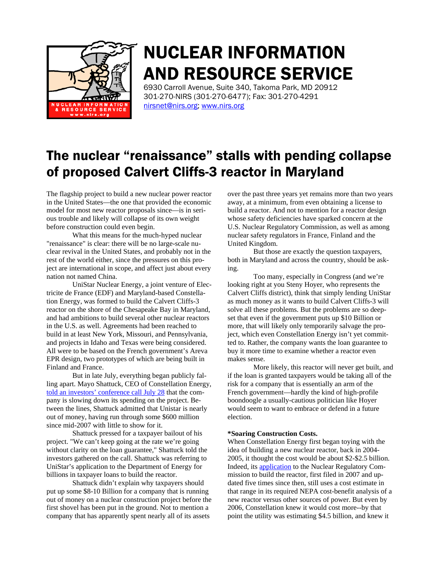

# NUCLEAR INFORMATION AND RESOURCE SERVICE

6930 Carroll Avenue, Suite 340, Takoma Park, MD 20912 301-270-NIRS (301-270-6477); Fax: 301-270-4291 nirsnet@nirs.org; www.nirs.org

# The nuclear "renaissance" stalls with pending collapse of proposed Calvert Cliffs-3 reactor in Maryland

The flagship project to build a new nuclear power reactor in the United States—the one that provided the economic model for most new reactor proposals since—is in serious trouble and likely will collapse of its own weight before construction could even begin.

What this means for the much-hyped nuclear "renaissance" is clear: there will be no large-scale nuclear revival in the United States, and probably not in the rest of the world either, since the pressures on this project are international in scope, and affect just about every nation not named China.

UniStar Nuclear Energy, a joint venture of Electricite de France (EDF) and Maryland-based Constellation Energy, was formed to build the Calvert Cliffs-3 reactor on the shore of the Chesapeake Bay in Maryland, and had ambitions to build several other nuclear reactors in the U.S. as well. Agreements had been reached to build in at least New York, Missouri, and Pennsylvania, and projects in Idaho and Texas were being considered. All were to be based on the French government's Areva EPR design, two prototypes of which are being built in Finland and France.

But in late July, everything began publicly falling apart. Mayo Shattuck, CEO of Constellation Energy, told an investors' conference call July 28 that the company is slowing down its spending on the project. Between the lines, Shattuck admitted that Unistar is nearly out of money, having run through some \$600 million since mid-2007 with little to show for it.

Shattuck pressed for a taxpayer bailout of his project. "We can't keep going at the rate we're going without clarity on the loan guarantee," Shattuck told the investors gathered on the call. Shattuck was referring to UniStar's application to the Department of Energy for billions in taxpayer loans to build the reactor.

Shattuck didn't explain why taxpayers should put up some \$8-10 Billion for a company that is running out of money on a nuclear construction project before the first shovel has been put in the ground. Not to mention a company that has apparently spent nearly all of its assets

over the past three years yet remains more than two years away, at a minimum, from even obtaining a license to build a reactor. And not to mention for a reactor design whose safety deficiencies have sparked concern at the U.S. Nuclear Regulatory Commission, as well as among nuclear safety regulators in France, Finland and the United Kingdom.

But those are exactly the question taxpayers, both in Maryland and across the country, should be asking.

Too many, especially in Congress (and we're looking right at you Steny Hoyer, who represents the Calvert Cliffs district), think that simply lending UniStar as much money as it wants to build Calvert Cliffs-3 will solve all these problems. But the problems are so deepset that even if the government puts up \$10 Billion or more, that will likely only temporarily salvage the project, which even Constellation Energy isn't yet committed to. Rather, the company wants the loan guarantee to buy it more time to examine whether a reactor even makes sense.

More likely, this reactor will never get built, and if the loan is granted taxpayers would be taking all of the risk for a company that is essentially an arm of the French government—hardly the kind of high-profile boondoogle a usually-cautious politician like Hoyer would seem to want to embrace or defend in a future election.

#### **\*Soaring Construction Costs.**

When Constellation Energy first began toying with the idea of building a new nuclear reactor, back in 2004- 2005, it thought the cost would be about \$2-\$2.5 billion. Indeed, its application to the Nuclear Regulatory Commission to build the reactor, first filed in 2007 and updated five times since then, still uses a cost estimate in that range in its required NEPA cost-benefit analysis of a new reactor versus other sources of power. But even by 2006, Constellation knew it would cost more--by that point the utility was estimating \$4.5 billion, and knew it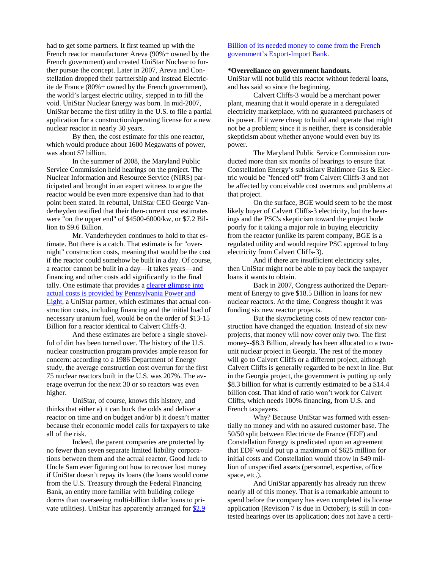had to get some partners. It first teamed up with the French reactor manufacturer Areva (90%+ owned by the French government) and created UniStar Nuclear to further pursue the concept. Later in 2007, Areva and Constellation dropped their partnership and instead Electricite de France (80%+ owned by the French government), the world's largest electric utility, stepped in to fill the void. UniStar Nuclear Energy was born. In mid-2007, UniStar became the first utility in the U.S. to file a partial application for a construction/operating license for a new nuclear reactor in nearly 30 years.

By then, the cost estimate for this one reactor, which would produce about 1600 Megawatts of power, was about \$7 billion.

In the summer of 2008, the Maryland Public Service Commission held hearings on the project. The Nuclear Information and Resource Service (NIRS) participated and brought in an expert witness to argue the reactor would be even more expensive than had to that point been stated. In rebuttal, UniStar CEO George Vanderheyden testified that their then-current cost estimates were "on the upper end" of \$4500-6000/kw, or \$7.2 Billion to \$9.6 Billion.

Mr. Vanderheyden continues to hold to that estimate. But there is a catch. That estimate is for "overnight" construction costs, meaning that would be the cost if the reactor could somehow be built in a day. Of course, a reactor cannot be built in a day—it takes years—and financing and other costs add significantly to the final tally. One estimate that provides a clearer glimpse into actual costs is provided by Pennsylvania Power and Light, a UniStar partner, which estimates that actual construction costs, including financing and the initial load of necessary uranium fuel, would be on the order of \$13-15 Billion for a reactor identical to Calvert Cliffs-3.

And these estimates are before a single shovelful of dirt has been turned over. The history of the U.S. nuclear construction program provides ample reason for concern: according to a 1986 Department of Energy study, the average construction cost overrun for the first 75 nuclear reactors built in the U.S. was 207%. The average overrun for the next 30 or so reactors was even higher.

UniStar, of course, knows this history, and thinks that either a) it can buck the odds and deliver a reactor on time and on budget and/or b) it doesn't matter because their economic model calls for taxpayers to take all of the risk.

Indeed, the parent companies are protected by no fewer than seven separate limited liability corporations between them and the actual reactor. Good luck to Uncle Sam ever figuring out how to recover lost money if UniStar doesn't repay its loans (the loans would come from the U.S. Treasury through the Federal Financing Bank, an entity more familiar with building college dorms than overseeing multi-billion dollar loans to private utilities). UniStar has apparently arranged for \$2.9

### Billion of its needed money to come from the French government's Export-Import Bank.

#### **\*Overreliance on government handouts.**

UniStar will not build this reactor without federal loans, and has said so since the beginning.

Calvert Cliffs-3 would be a merchant power plant, meaning that it would operate in a deregulated electricity marketplace, with no guaranteed purchasers of its power. If it were cheap to build and operate that might not be a problem; since it is neither, there is considerable skepticism about whether anyone would even buy its power.

The Maryland Public Service Commission conducted more than six months of hearings to ensure that Constellation Energy's subsidiary Baltimore Gas & Electric would be "fenced off" from Calvert Cliffs-3 and not be affected by conceivable cost overruns and problems at that project.

On the surface, BGE would seem to be the most likely buyer of Calvert Cliffs-3 electricity, but the hearings and the PSC's skepticism toward the project bode poorly for it taking a major role in buying electricity from the reactor (unlike its parent company, BGE is a regulated utility and would require PSC approval to buy electricity from Calvert Cliffs-3).

And if there are insufficient electricity sales, then UniStar might not be able to pay back the taxpayer loans it wants to obtain.

Back in 2007, Congress authorized the Department of Energy to give \$18.5 Billion in loans for new nuclear reactors. At the time, Congress thought it was funding six new reactor projects.

But the skyrocketing costs of new reactor construction have changed the equation. Instead of six new projects, that money will now cover only two. The first money--\$8.3 Billion, already has been allocated to a twounit nuclear project in Georgia. The rest of the money will go to Calvert Cliffs or a different project, although Calvert Cliffs is generally regarded to be next in line. But in the Georgia project, the government is putting up only \$8.3 billion for what is currently estimated to be a \$14.4 billion cost. That kind of ratio won't work for Calvert Cliffs, which needs 100% financing, from U.S. and French taxpayers.

Why? Because UniStar was formed with essentially no money and with no assured customer base. The 50/50 split between Electricite de France (EDF) and Constellation Energy is predicated upon an agreement that EDF would put up a maximum of \$625 million for initial costs and Constellation would throw in \$49 million of unspecified assets (personnel, expertise, office space, etc.).

And UniStar apparently has already run threw nearly all of this money. That is a remarkable amount to spend before the company has even completed its license application (Revision 7 is due in October); is still in contested hearings over its application; does not have a certi-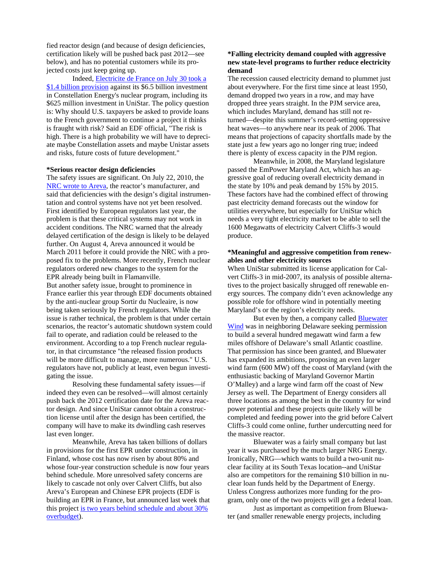fied reactor design (and because of design deficiencies, certification likely will be pushed back past 2012—see below), and has no potential customers while its projected costs just keep going up.

Indeed, Electricite de France on July 30 took a \$1.4 billion provision against its \$6.5 billion investment in Constellation Energy's nuclear program, including its \$625 million investment in UniStar. The policy question is: Why should U.S. taxpayers be asked to provide loans to the French government to continue a project it thinks is fraught with risk? Said an EDF official, "The risk is high. There is a high probability we will have to depreciate maybe Constellation assets and maybe Unistar assets and risks, future costs of future development."

## **\*Serious reactor design deficiencies**

The safety issues are significant. On July 22, 2010, the NRC wrote to Areva, the reactor's manufacturer, and said that deficiencies with the design's digital instrumentation and control systems have not yet been resolved. First identified by European regulators last year, the problem is that these critical systems may not work in accident conditions. The NRC warned that the already delayed certification of the design is likely to be delayed further. On August 4, Areva announced it would be March 2011 before it could provide the NRC with a proposed fix to the problems. More recently, French nuclear regulators ordered new changes to the system for the EPR already being built in Flamanville. But another safety issue, brought to prominence in France earlier this year through EDF documents obtained by the anti-nuclear group Sortir du Nucleaire, is now being taken seriously by French regulators. While the issue is rather technical, the problem is that under certain scenarios, the reactor's automatic shutdown system could fail to operate, and radiation could be released to the environment. According to a top French nuclear regulator, in that circumstance "the released fission products will be more difficult to manage, more numerous." U.S. regulators have not, publicly at least, even begun investigating the issue.

Resolving these fundamental safety issues—if indeed they even can be resolved—will almost certainly push back the 2012 certification date for the Areva reactor design. And since UniStar cannot obtain a construction license until after the design has been certified, the company will have to make its dwindling cash reserves last even longer.

Meanwhile, Areva has taken billions of dollars in provisions for the first EPR under construction, in Finland, whose cost has now risen by about 80% and whose four-year construction schedule is now four years behind schedule. More unresolved safety concerns are likely to cascade not only over Calvert Cliffs, but also Areva's European and Chinese EPR projects (EDF is building an EPR in France, but announced last week that this project is two years behind schedule and about 30% overbudget).

## **\*Falling electricity demand coupled with aggressive new state-level programs to further reduce electricity demand**

The recession caused electricity demand to plummet just about everywhere. For the first time since at least 1950, demand dropped two years in a row, and may have dropped three years straight. In the PJM service area, which includes Maryland, demand has still not returned—despite this summer's record-setting oppressive heat waves—to anywhere near its peak of 2006. That means that projections of capacity shortfalls made by the state just a few years ago no longer ring true; indeed there is plenty of excess capacity in the PJM region.

Meanwhile, in 2008, the Maryland legislature passed the EmPower Maryland Act, which has an aggressive goal of reducing overall electricity demand in the state by 10% and peak demand by 15% by 2015. These factors have had the combined effect of throwing past electricity demand forecasts out the window for utilities everywhere, but especially for UniStar which needs a very tight electricity market to be able to sell the 1600 Megawatts of electricity Calvert Cliffs-3 would produce.

#### **\*Meaningful and aggressive competition from renewables and other electricity sources**

When UniStar submitted its license application for Calvert Cliffs-3 in mid-2007, its analysis of possible alternatives to the project basically shrugged off renewable energy sources. The company didn't even acknowledge any possible role for offshore wind in potentially meeting Maryland's or the region's electricity needs.

But even by then, a company called Bluewater Wind was in neighboring Delaware seeking permission to build a several hundred megawatt wind farm a few miles offshore of Delaware's small Atlantic coastline. That permission has since been granted, and Bluewater has expanded its ambitions, proposing an even larger wind farm (600 MW) off the coast of Maryland (with the enthusiastic backing of Maryland Governor Martin O'Malley) and a large wind farm off the coast of New Jersey as well. The Department of Energy considers all three locations as among the best in the country for wind power potential and these projects quite likely will be completed and feeding power into the grid before Calvert Cliffs-3 could come online, further undercutting need for the massive reactor.

Bluewater was a fairly small company but last year it was purchased by the much larger NRG Energy. Ironically, NRG—which wants to build a two-unit nuclear facility at its South Texas location--and UniStar also are competitors for the remaining \$10 billion in nuclear loan funds held by the Department of Energy. Unless Congress authorizes more funding for the program, only one of the two projects will get a federal loan.

Just as important as competition from Bluewater (and smaller renewable energy projects, including